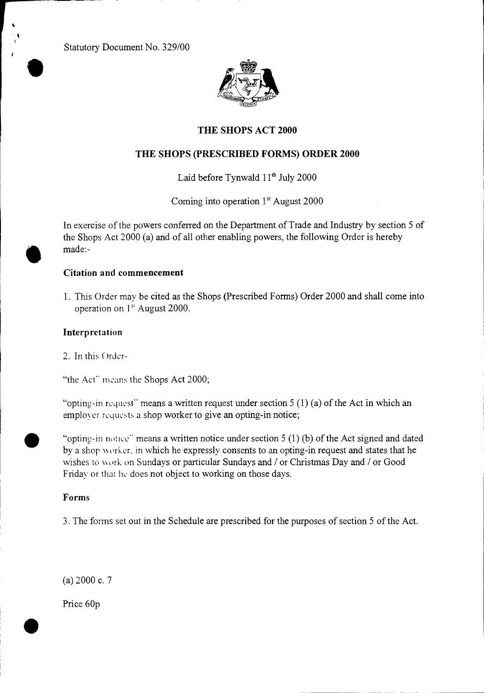Statutory Document No. 329/00 •



## **THE SHOPS ACT 2000**

## **THE SHOPS (PRESCRIBED FORMS) ORDER 2000**

Laid before Tynwald  $11<sup>th</sup>$  July 2000

Coming into operation 1" August 2000

In exercise of the powers conferred on the Department of Trade and Industry by section 5 of the Shops Act 2000 (a) and of all other enabling powers, the following Order is hereby made:-

## **Citation and commencement**

1. This Order may be cited as the Shops (Prescribed Forms) Order 2000 and shall come into operation on 1<sup>st</sup> August 2000.

## **Interpretation**

•

•

2. In this Order-

"the Act" means the Shops Act 2000;

"opting-in request" means a written request under section  $5(1)(a)$  of the Act in which an employer requests a shop worker to give an opting-in notice;

"opting-in notice" means a written notice under section  $5(1)(b)$  of the Act signed and dated by a shop worker, in which he expressly consents to an opting-in request and states that he wishes to work on Sundays or particular Sundays and / or Christmas Day and / or Good Friday or that he does not object to working on those days.

## **Forms**

3. The forms set out in the Schedule are prescribed for the purposes of section 5 of the Act.

(a) 2000 c. 7

Price 60p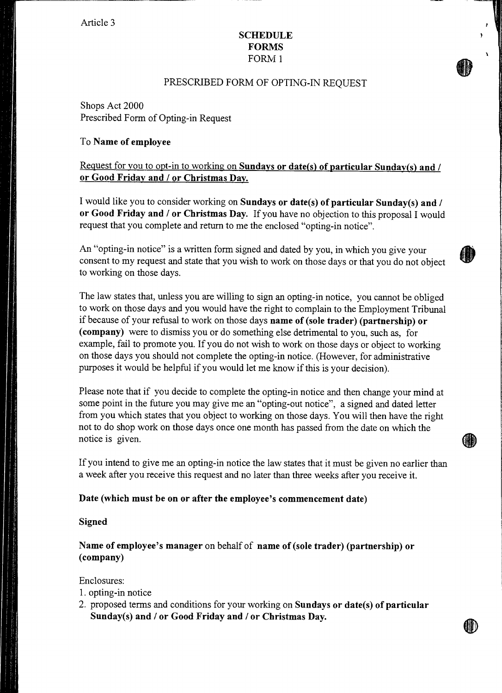Article 3

### **SCHEDULE FORMS**  FORM 1

#### PRESCRIBED FORM OF OPTING-IN REQUEST

Shops Act 2000 Prescribed Form of Opting-in Request

### To **Name of employee**

## Request for you to opt-in to working on **Sundays or date(s) of particular Sunday(s) and / or Good Friday and / or Christmas Day.**

I would like you to consider working on **Sundays or date(s) of particular Sunday(s) and / or Good Friday and / or Christmas Day.** If you have no objection to this proposal I would request that you complete and return to me the enclosed "opting-in notice".

An "opting-in notice" is a written form signed and dated by you, in which you give your consent to my request and state that you wish to work on those days or that you do not object to working on those days.

The law states that, unless you are willing to sign an opting-in notice, you cannot be obliged to work on those days and you would have the right to complain to the Employment Tribunal if because of your refusal to work on those days **name of (sole trader) (partnership) or (company)** were to dismiss you or do something else detrimental to you, such as, for example, fail to promote you. If you do not wish to work on those days or object to working on those days you should not complete the opting-in notice. (However, for administrative purposes it would be helpful if you would let me know if this is your decision).

Please note that if you decide to complete the opting-in notice and then change your mind at some point in the future you may give me an "opting-out notice", a signed and dated letter from you which states that you object to working on those days. You will then have the right not to do shop work on those days once one month has passed from the date on which the notice is given.

If you intend to give me an opting-in notice the law states that it must be given no earlier than a week after you receive this request and no later than three weeks after you receive it.

#### **Date (which must be on or after the employee's commencement date)**

#### **Signed**

**Name of employee's manager** on behalf of **name of (sole trader) (partnership) or (company)** 

Enclosures:

- 1. opting-in notice
- 2. proposed terms and conditions for your working on **Sundays or date(s) of particular Sunday(s) and / or Good Friday and / or Christmas Day.**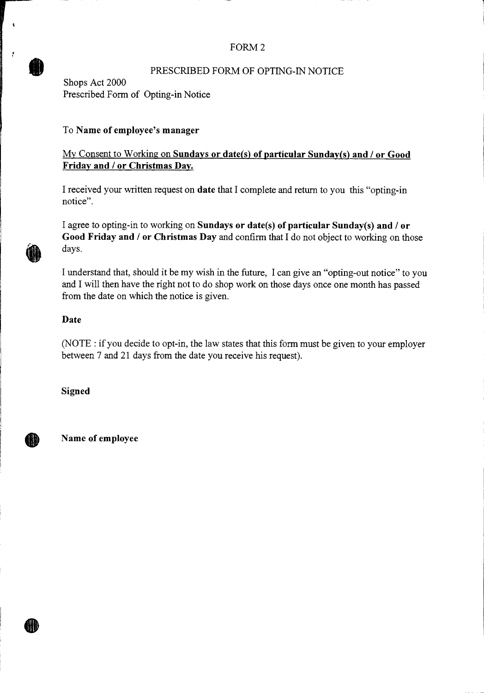## FORM 2

## PRESCRIBED FORM OF OPTING-IN NOTICE

Shops Act 2000 Prescribed Form of Opting-in Notice

## To Name of employee's manager

## My Consent to Working on **Sundays or date(s) of particular Sunday(s) and / or Good Friday and / or Christmas Day.**

I received your written request on **date** that I complete and return to you this "opting-in notice".

I agree to opting-in to working on **Sundays or date(s) of particular Sunday(s) and / or Good Friday and / or Christmas Day** and confirm that I do not object to working on those days.

I understand that, should it be my wish in the future, I can give an "opting-out notice" to you and I will then have the right not to do shop work on those days once one month has passed from the date on which the notice is given.

### Date

 $\mathbf{I}$ 

(NOTE : if you decide to opt-in, the law states that this form must be given to your employer between 7 and 21 days from the date you receive his request).

**Signed** 

IID

**Name of employee**